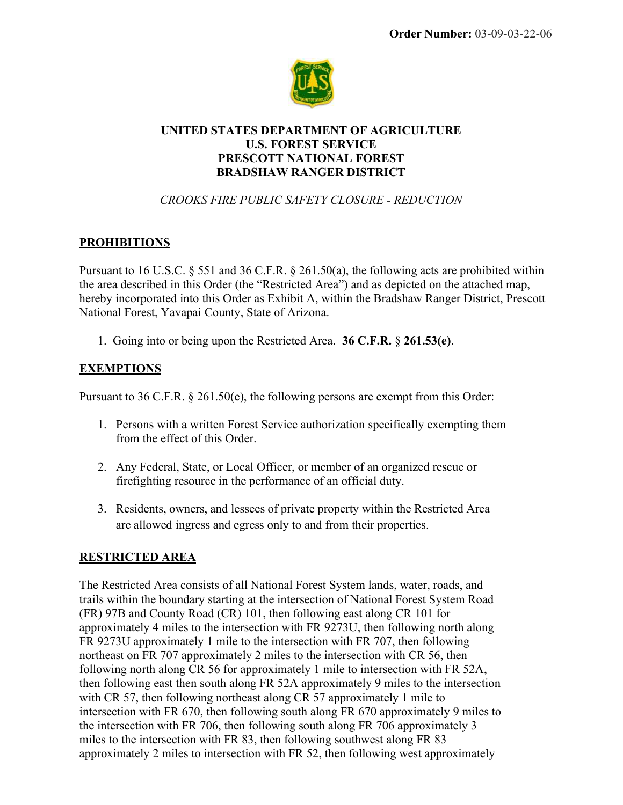

### UNITED STATES DEPARTMENT OF AGRICULTURE U.S. FOREST SERVICE PRESCOTT NATIONAL FOREST BRADSHAW RANGER DISTRICT

## CROOKS FIRE PUBLIC SAFETY CLOSURE - REDUCTION

# **PROHIBITIONS**

Pursuant to 16 U.S.C. § 551 and 36 C.F.R. § 261.50(a), the following acts are prohibited within the area described in this Order (the "Restricted Area") and as depicted on the attached map, hereby incorporated into this Order as Exhibit A, within the Bradshaw Ranger District, Prescott National Forest, Yavapai County, State of Arizona.

1. Going into or being upon the Restricted Area. 36 C.F.R. § 261.53(e).

### **EXEMPTIONS**

Pursuant to 36 C.F.R. § 261.50(e), the following persons are exempt from this Order:

- 1. Persons with a written Forest Service authorization specifically exempting them from the effect of this Order.
- 2. Any Federal, State, or Local Officer, or member of an organized rescue or firefighting resource in the performance of an official duty.
- 3. Residents, owners, and lessees of private property within the Restricted Area are allowed ingress and egress only to and from their properties.

### RESTRICTED AREA

The Restricted Area consists of all National Forest System lands, water, roads, and trails within the boundary starting at the intersection of National Forest System Road (FR) 97B and County Road (CR) 101, then following east along CR 101 for approximately 4 miles to the intersection with FR 9273U, then following north along FR 9273U approximately 1 mile to the intersection with FR 707, then following northeast on FR 707 approximately 2 miles to the intersection with CR 56, then following north along CR 56 for approximately 1 mile to intersection with FR 52A, then following east then south along FR 52A approximately 9 miles to the intersection with CR 57, then following northeast along CR 57 approximately 1 mile to intersection with FR 670, then following south along FR 670 approximately 9 miles to the intersection with FR 706, then following south along FR 706 approximately 3 miles to the intersection with FR 83, then following southwest along FR 83 approximately 2 miles to intersection with FR 52, then following west approximately